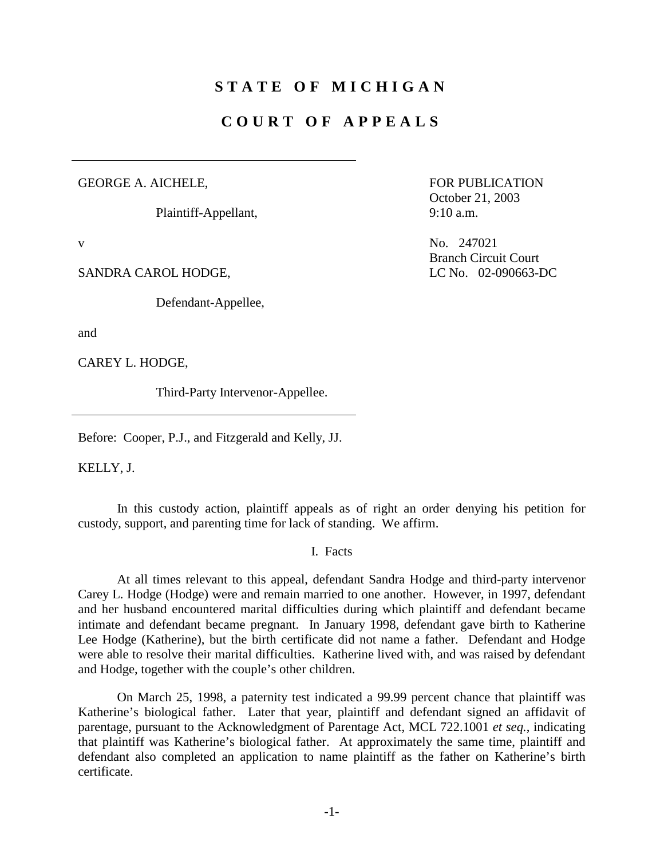## **STATE OF MICHIGAN**

## **COURT OF APPEALS**

#### GEORGE A. AICHELE,

Plaintiff-Appellant,

SANDRA CAROL HODGE, LC No. 02-090663-DC

Defendant-Appellee,

and

CAREY L. HODGE,

Third-Party Intervenor-Appellee.

Before: Cooper, P.J., and Fitzgerald and Kelly, JJ.

KELLY, J.

 In this custody action, plaintiff appeals as of right an order denying his petition for custody, support, and parenting time for lack of standing. We affirm.

I. Facts

 At all times relevant to this appeal, defendant Sandra Hodge and third-party intervenor Carey L. Hodge (Hodge) were and remain married to one another. However, in 1997, defendant and her husband encountered marital difficulties during which plaintiff and defendant became intimate and defendant became pregnant. In January 1998, defendant gave birth to Katherine Lee Hodge (Katherine), but the birth certificate did not name a father. Defendant and Hodge were able to resolve their marital difficulties. Katherine lived with, and was raised by defendant and Hodge, together with the couple's other children.

 On March 25, 1998, a paternity test indicated a 99.99 percent chance that plaintiff was Katherine's biological father. Later that year, plaintiff and defendant signed an affidavit of parentage, pursuant to the Acknowledgment of Parentage Act, MCL 722.1001 *et seq.*, indicating that plaintiff was Katherine's biological father. At approximately the same time, plaintiff and defendant also completed an application to name plaintiff as the father on Katherine's birth certificate.

 FOR PUBLICATION October 21, 2003  $9:10 \text{ a.m.}$ 

v No. 247021 Branch Circuit Court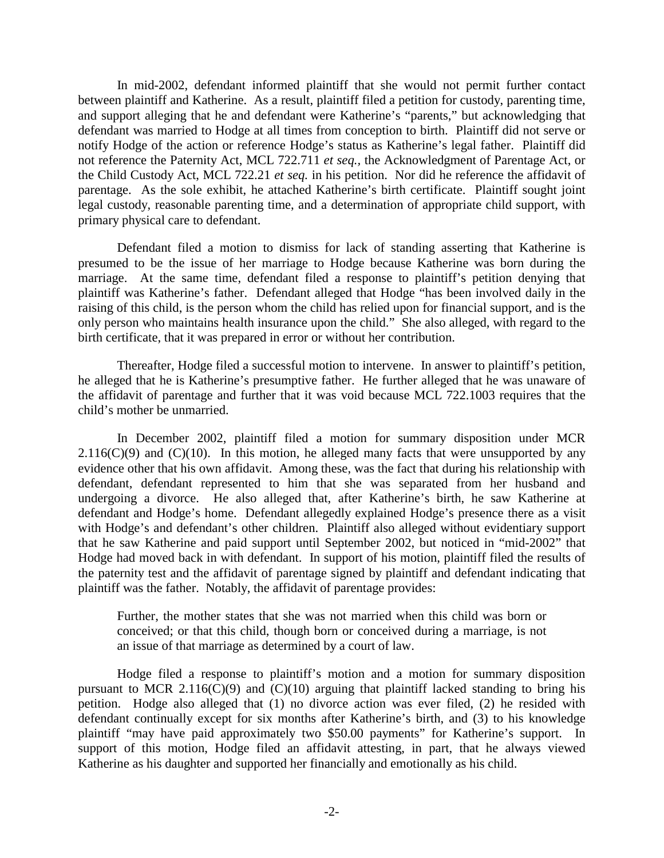In mid-2002, defendant informed plaintiff that she would not permit further contact between plaintiff and Katherine. As a result, plaintiff filed a petition for custody, parenting time, and support alleging that he and defendant were Katherine's "parents," but acknowledging that defendant was married to Hodge at all times from conception to birth. Plaintiff did not serve or notify Hodge of the action or reference Hodge's status as Katherine's legal father. Plaintiff did not reference the Paternity Act, MCL 722.711 *et seq.,* the Acknowledgment of Parentage Act, or the Child Custody Act, MCL 722.21 *et seq.* in his petition. Nor did he reference the affidavit of parentage. As the sole exhibit, he attached Katherine's birth certificate. Plaintiff sought joint legal custody, reasonable parenting time, and a determination of appropriate child support, with primary physical care to defendant.

 Defendant filed a motion to dismiss for lack of standing asserting that Katherine is presumed to be the issue of her marriage to Hodge because Katherine was born during the marriage. At the same time, defendant filed a response to plaintiff's petition denying that plaintiff was Katherine's father. Defendant alleged that Hodge "has been involved daily in the raising of this child, is the person whom the child has relied upon for financial support, and is the only person who maintains health insurance upon the child." She also alleged, with regard to the birth certificate, that it was prepared in error or without her contribution.

 Thereafter, Hodge filed a successful motion to intervene. In answer to plaintiff's petition, he alleged that he is Katherine's presumptive father. He further alleged that he was unaware of the affidavit of parentage and further that it was void because MCL 722.1003 requires that the child's mother be unmarried.

 In December 2002, plaintiff filed a motion for summary disposition under MCR  $2.116(C)(9)$  and  $(C)(10)$ . In this motion, he alleged many facts that were unsupported by any evidence other that his own affidavit. Among these, was the fact that during his relationship with defendant, defendant represented to him that she was separated from her husband and undergoing a divorce. He also alleged that, after Katherine's birth, he saw Katherine at defendant and Hodge's home. Defendant allegedly explained Hodge's presence there as a visit with Hodge's and defendant's other children. Plaintiff also alleged without evidentiary support that he saw Katherine and paid support until September 2002, but noticed in "mid-2002" that Hodge had moved back in with defendant. In support of his motion, plaintiff filed the results of the paternity test and the affidavit of parentage signed by plaintiff and defendant indicating that plaintiff was the father. Notably, the affidavit of parentage provides:

Further, the mother states that she was not married when this child was born or conceived; or that this child, though born or conceived during a marriage, is not an issue of that marriage as determined by a court of law.

 Hodge filed a response to plaintiff's motion and a motion for summary disposition pursuant to MCR 2.116( $C(9)$ ) and  $C(10)$  arguing that plaintiff lacked standing to bring his petition. Hodge also alleged that (1) no divorce action was ever filed, (2) he resided with defendant continually except for six months after Katherine's birth, and (3) to his knowledge plaintiff "may have paid approximately two \$50.00 payments" for Katherine's support. In support of this motion, Hodge filed an affidavit attesting, in part, that he always viewed Katherine as his daughter and supported her financially and emotionally as his child.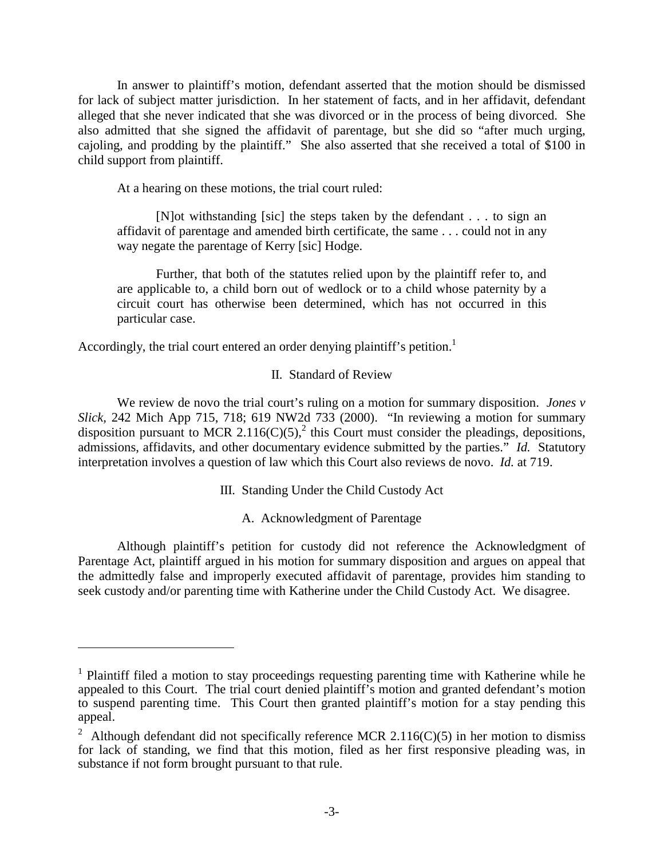In answer to plaintiff's motion, defendant asserted that the motion should be dismissed for lack of subject matter jurisdiction. In her statement of facts, and in her affidavit, defendant alleged that she never indicated that she was divorced or in the process of being divorced. She also admitted that she signed the affidavit of parentage, but she did so "after much urging, cajoling, and prodding by the plaintiff." She also asserted that she received a total of \$100 in child support from plaintiff.

At a hearing on these motions, the trial court ruled:

 [N]ot withstanding [sic] the steps taken by the defendant . . . to sign an affidavit of parentage and amended birth certificate, the same . . . could not in any way negate the parentage of Kerry [sic] Hodge.

 Further, that both of the statutes relied upon by the plaintiff refer to, and are applicable to, a child born out of wedlock or to a child whose paternity by a circuit court has otherwise been determined, which has not occurred in this particular case.

Accordingly, the trial court entered an order denying plaintiff's petition.<sup>1</sup>

 $\overline{a}$ 

### II. Standard of Review

We review de novo the trial court's ruling on a motion for summary disposition. *Jones v Slick,* 242 Mich App 715, 718; 619 NW2d 733 (2000). "In reviewing a motion for summary disposition pursuant to MCR 2.116(C)(5),<sup>2</sup> this Court must consider the pleadings, depositions, admissions, affidavits, and other documentary evidence submitted by the parties." *Id.* Statutory interpretation involves a question of law which this Court also reviews de novo. *Id.* at 719.

III. Standing Under the Child Custody Act

A. Acknowledgment of Parentage

 Although plaintiff's petition for custody did not reference the Acknowledgment of Parentage Act, plaintiff argued in his motion for summary disposition and argues on appeal that the admittedly false and improperly executed affidavit of parentage, provides him standing to seek custody and/or parenting time with Katherine under the Child Custody Act. We disagree.

<sup>&</sup>lt;sup>1</sup> Plaintiff filed a motion to stay proceedings requesting parenting time with Katherine while he appealed to this Court. The trial court denied plaintiff's motion and granted defendant's motion to suspend parenting time. This Court then granted plaintiff's motion for a stay pending this appeal.

<sup>&</sup>lt;sup>2</sup> Although defendant did not specifically reference MCR 2.116(C)(5) in her motion to dismiss for lack of standing, we find that this motion, filed as her first responsive pleading was, in substance if not form brought pursuant to that rule.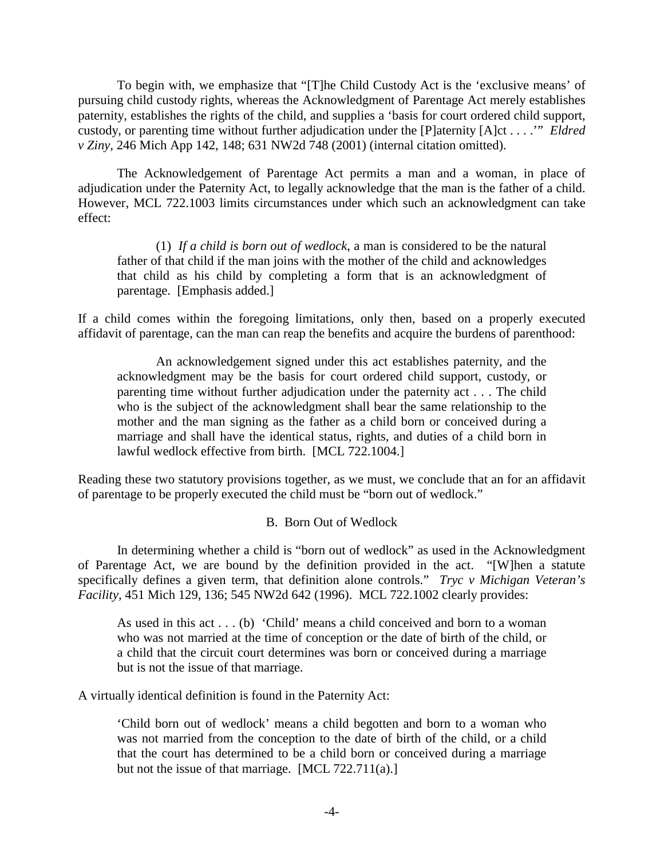To begin with, we emphasize that "[T]he Child Custody Act is the 'exclusive means' of pursuing child custody rights, whereas the Acknowledgment of Parentage Act merely establishes paternity, establishes the rights of the child, and supplies a 'basis for court ordered child support, custody, or parenting time without further adjudication under the [P]aternity [A]ct . . . .'" *Eldred v Ziny,* 246 Mich App 142, 148; 631 NW2d 748 (2001) (internal citation omitted).

 The Acknowledgement of Parentage Act permits a man and a woman, in place of adjudication under the Paternity Act, to legally acknowledge that the man is the father of a child. However, MCL 722.1003 limits circumstances under which such an acknowledgment can take effect:

 (1) *If a child is born out of wedlock*, a man is considered to be the natural father of that child if the man joins with the mother of the child and acknowledges that child as his child by completing a form that is an acknowledgment of parentage. [Emphasis added.]

If a child comes within the foregoing limitations, only then, based on a properly executed affidavit of parentage, can the man can reap the benefits and acquire the burdens of parenthood:

 An acknowledgement signed under this act establishes paternity, and the acknowledgment may be the basis for court ordered child support, custody, or parenting time without further adjudication under the paternity act . . . The child who is the subject of the acknowledgment shall bear the same relationship to the mother and the man signing as the father as a child born or conceived during a marriage and shall have the identical status, rights, and duties of a child born in lawful wedlock effective from birth. [MCL 722.1004.]

Reading these two statutory provisions together, as we must, we conclude that an for an affidavit of parentage to be properly executed the child must be "born out of wedlock."

### B. Born Out of Wedlock

 In determining whether a child is "born out of wedlock" as used in the Acknowledgment of Parentage Act, we are bound by the definition provided in the act. "[W]hen a statute specifically defines a given term, that definition alone controls." *Tryc v Michigan Veteran's Facility,* 451 Mich 129, 136; 545 NW2d 642 (1996). MCL 722.1002 clearly provides:

As used in this act . . . (b) 'Child' means a child conceived and born to a woman who was not married at the time of conception or the date of birth of the child, or a child that the circuit court determines was born or conceived during a marriage but is not the issue of that marriage.

A virtually identical definition is found in the Paternity Act:

'Child born out of wedlock' means a child begotten and born to a woman who was not married from the conception to the date of birth of the child, or a child that the court has determined to be a child born or conceived during a marriage but not the issue of that marriage. [MCL 722.711(a).]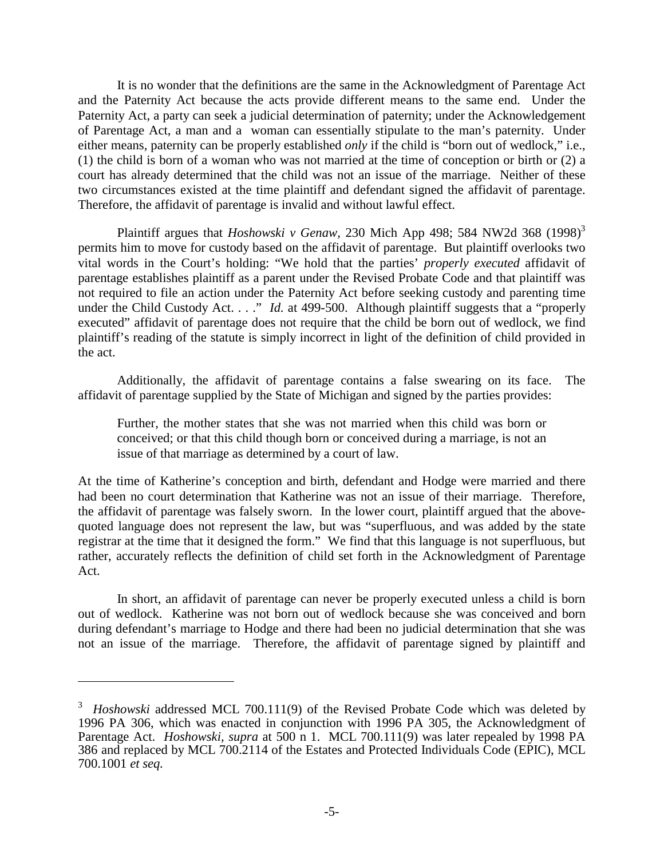It is no wonder that the definitions are the same in the Acknowledgment of Parentage Act and the Paternity Act because the acts provide different means to the same end. Under the Paternity Act, a party can seek a judicial determination of paternity; under the Acknowledgement of Parentage Act, a man and a woman can essentially stipulate to the man's paternity. Under either means, paternity can be properly established *only* if the child is "born out of wedlock," i.e., (1) the child is born of a woman who was not married at the time of conception or birth or (2) a court has already determined that the child was not an issue of the marriage. Neither of these two circumstances existed at the time plaintiff and defendant signed the affidavit of parentage. Therefore, the affidavit of parentage is invalid and without lawful effect.

Plaintiff argues that *Hoshowski v Genaw*, 230 Mich App 498; 584 NW2d 368  $(1998)^3$ permits him to move for custody based on the affidavit of parentage. But plaintiff overlooks two vital words in the Court's holding: "We hold that the parties' *properly executed* affidavit of parentage establishes plaintiff as a parent under the Revised Probate Code and that plaintiff was not required to file an action under the Paternity Act before seeking custody and parenting time under the Child Custody Act. . . ." *Id.* at 499-500. Although plaintiff suggests that a "properly executed" affidavit of parentage does not require that the child be born out of wedlock, we find plaintiff's reading of the statute is simply incorrect in light of the definition of child provided in the act.

 Additionally, the affidavit of parentage contains a false swearing on its face. The affidavit of parentage supplied by the State of Michigan and signed by the parties provides:

Further, the mother states that she was not married when this child was born or conceived; or that this child though born or conceived during a marriage, is not an issue of that marriage as determined by a court of law.

At the time of Katherine's conception and birth, defendant and Hodge were married and there had been no court determination that Katherine was not an issue of their marriage. Therefore, the affidavit of parentage was falsely sworn. In the lower court, plaintiff argued that the abovequoted language does not represent the law, but was "superfluous, and was added by the state registrar at the time that it designed the form." We find that this language is not superfluous, but rather, accurately reflects the definition of child set forth in the Acknowledgment of Parentage Act.

 In short, an affidavit of parentage can never be properly executed unless a child is born out of wedlock. Katherine was not born out of wedlock because she was conceived and born during defendant's marriage to Hodge and there had been no judicial determination that she was not an issue of the marriage. Therefore, the affidavit of parentage signed by plaintiff and

1

<sup>&</sup>lt;sup>3</sup> *Hoshowski* addressed MCL 700.111(9) of the Revised Probate Code which was deleted by 1996 PA 306, which was enacted in conjunction with 1996 PA 305, the Acknowledgment of Parentage Act. *Hoshowski, supra* at 500 n 1. MCL 700.111(9) was later repealed by 1998 PA 386 and replaced by MCL 700.2114 of the Estates and Protected Individuals Code (EPIC), MCL 700.1001 *et seq.*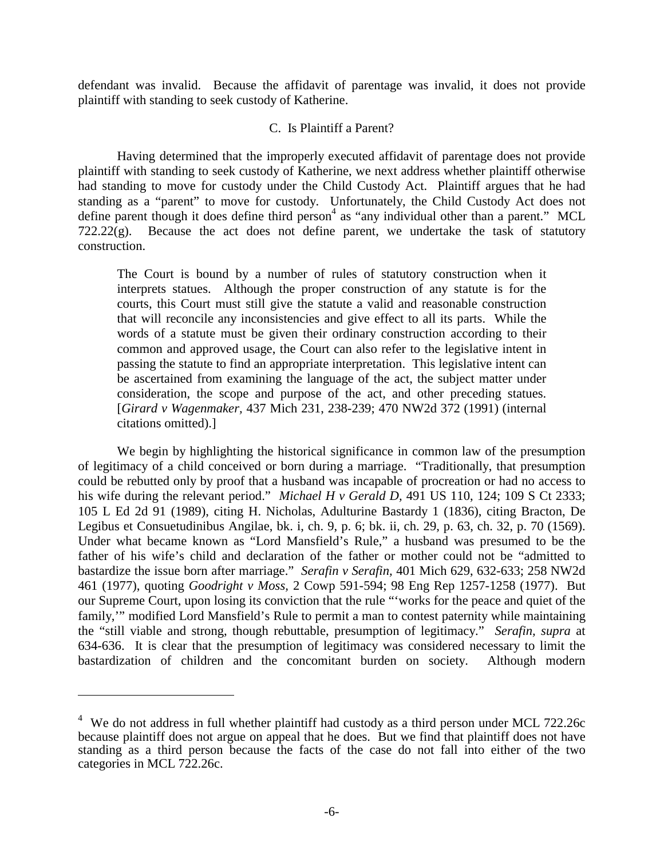defendant was invalid. Because the affidavit of parentage was invalid, it does not provide plaintiff with standing to seek custody of Katherine.

### C. Is Plaintiff a Parent?

 Having determined that the improperly executed affidavit of parentage does not provide plaintiff with standing to seek custody of Katherine, we next address whether plaintiff otherwise had standing to move for custody under the Child Custody Act. Plaintiff argues that he had standing as a "parent" to move for custody. Unfortunately, the Child Custody Act does not define parent though it does define third person<sup>4</sup> as "any individual other than a parent." MCL  $722.22(g)$ . Because the act does not define parent, we undertake the task of statutory construction.

The Court is bound by a number of rules of statutory construction when it interprets statues. Although the proper construction of any statute is for the courts, this Court must still give the statute a valid and reasonable construction that will reconcile any inconsistencies and give effect to all its parts. While the words of a statute must be given their ordinary construction according to their common and approved usage, the Court can also refer to the legislative intent in passing the statute to find an appropriate interpretation. This legislative intent can be ascertained from examining the language of the act, the subject matter under consideration, the scope and purpose of the act, and other preceding statues. [*Girard v Wagenmaker,* 437 Mich 231, 238-239; 470 NW2d 372 (1991) (internal citations omitted).]

 We begin by highlighting the historical significance in common law of the presumption of legitimacy of a child conceived or born during a marriage. "Traditionally, that presumption could be rebutted only by proof that a husband was incapable of procreation or had no access to his wife during the relevant period." *Michael H v Gerald D,* 491 US 110, 124; 109 S Ct 2333; 105 L Ed 2d 91 (1989), citing H. Nicholas, Adulturine Bastardy 1 (1836), citing Bracton, De Legibus et Consuetudinibus Angilae, bk. i, ch. 9, p. 6; bk. ii, ch. 29, p. 63, ch. 32, p. 70 (1569). Under what became known as "Lord Mansfield's Rule," a husband was presumed to be the father of his wife's child and declaration of the father or mother could not be "admitted to bastardize the issue born after marriage." *Serafin v Serafin,* 401 Mich 629, 632-633; 258 NW2d 461 (1977), quoting *Goodright v Moss,* 2 Cowp 591-594; 98 Eng Rep 1257-1258 (1977). But our Supreme Court, upon losing its conviction that the rule "'works for the peace and quiet of the family,'" modified Lord Mansfield's Rule to permit a man to contest paternity while maintaining the "still viable and strong, though rebuttable, presumption of legitimacy." *Serafin, supra* at 634-636. It is clear that the presumption of legitimacy was considered necessary to limit the bastardization of children and the concomitant burden on society. Although modern

1

 $4$  We do not address in full whether plaintiff had custody as a third person under MCL 722.26c because plaintiff does not argue on appeal that he does. But we find that plaintiff does not have standing as a third person because the facts of the case do not fall into either of the two categories in MCL 722.26c.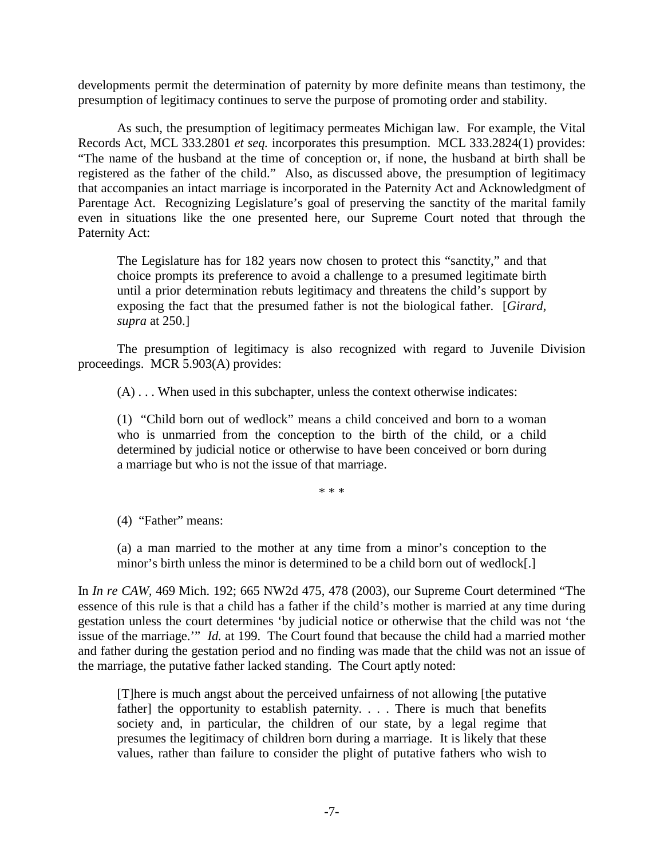developments permit the determination of paternity by more definite means than testimony, the presumption of legitimacy continues to serve the purpose of promoting order and stability.

 As such, the presumption of legitimacy permeates Michigan law. For example, the Vital Records Act, MCL 333.2801 *et seq.* incorporates this presumption. MCL 333.2824(1) provides: "The name of the husband at the time of conception or, if none, the husband at birth shall be registered as the father of the child." Also, as discussed above, the presumption of legitimacy that accompanies an intact marriage is incorporated in the Paternity Act and Acknowledgment of Parentage Act. Recognizing Legislature's goal of preserving the sanctity of the marital family even in situations like the one presented here, our Supreme Court noted that through the Paternity Act:

The Legislature has for 182 years now chosen to protect this "sanctity," and that choice prompts its preference to avoid a challenge to a presumed legitimate birth until a prior determination rebuts legitimacy and threatens the child's support by exposing the fact that the presumed father is not the biological father. [*Girard, supra* at 250.]

 The presumption of legitimacy is also recognized with regard to Juvenile Division proceedings. MCR 5.903(A) provides:

(A) . . . When used in this subchapter, unless the context otherwise indicates:

(1) "Child born out of wedlock" means a child conceived and born to a woman who is unmarried from the conception to the birth of the child, or a child determined by judicial notice or otherwise to have been conceived or born during a marriage but who is not the issue of that marriage.

\* \* \*

(4) "Father" means:

(a) a man married to the mother at any time from a minor's conception to the minor's birth unless the minor is determined to be a child born out of wedlock[.]

In *In re CAW,* 469 Mich. 192; 665 NW2d 475, 478 (2003), our Supreme Court determined "The essence of this rule is that a child has a father if the child's mother is married at any time during gestation unless the court determines 'by judicial notice or otherwise that the child was not 'the issue of the marriage.'" *Id.* at 199. The Court found that because the child had a married mother and father during the gestation period and no finding was made that the child was not an issue of the marriage, the putative father lacked standing. The Court aptly noted:

[T]here is much angst about the perceived unfairness of not allowing [the putative father] the opportunity to establish paternity. . . . There is much that benefits society and, in particular, the children of our state, by a legal regime that presumes the legitimacy of children born during a marriage. It is likely that these values, rather than failure to consider the plight of putative fathers who wish to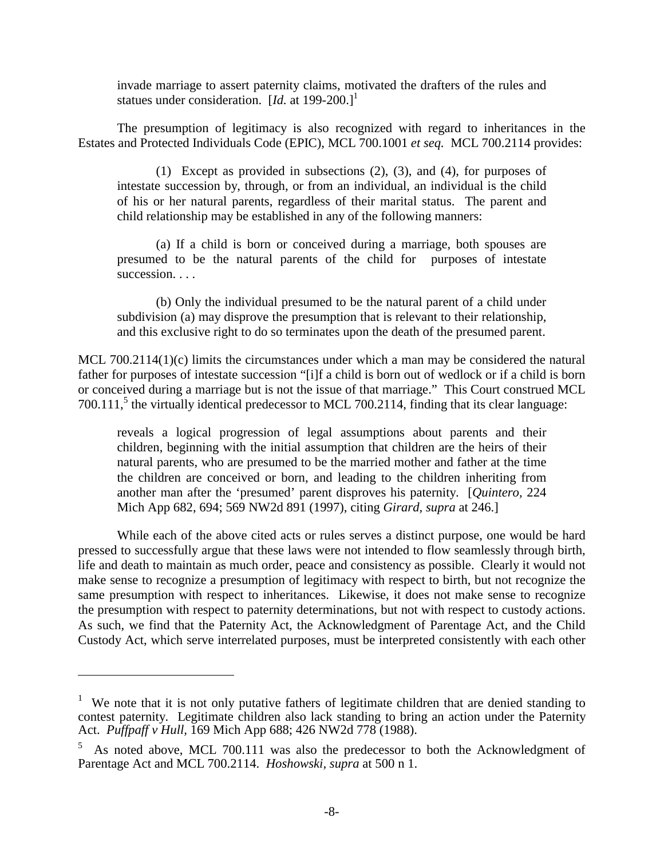invade marriage to assert paternity claims, motivated the drafters of the rules and statues under consideration. [*Id.* at 199-200.]<sup>1</sup>

 The presumption of legitimacy is also recognized with regard to inheritances in the Estates and Protected Individuals Code (EPIC), MCL 700.1001 *et seq.* MCL 700.2114 provides:

 (1) Except as provided in subsections (2), (3), and (4), for purposes of intestate succession by, through, or from an individual, an individual is the child of his or her natural parents, regardless of their marital status. The parent and child relationship may be established in any of the following manners:

 (a) If a child is born or conceived during a marriage, both spouses are presumed to be the natural parents of the child for purposes of intestate succession. . . .

 (b) Only the individual presumed to be the natural parent of a child under subdivision (a) may disprove the presumption that is relevant to their relationship, and this exclusive right to do so terminates upon the death of the presumed parent.

MCL 700.2114(1)(c) limits the circumstances under which a man may be considered the natural father for purposes of intestate succession "[i]f a child is born out of wedlock or if a child is born or conceived during a marriage but is not the issue of that marriage." This Court construed MCL 700.111,<sup>5</sup> the virtually identical predecessor to MCL 700.2114, finding that its clear language:

reveals a logical progression of legal assumptions about parents and their children, beginning with the initial assumption that children are the heirs of their natural parents, who are presumed to be the married mother and father at the time the children are conceived or born, and leading to the children inheriting from another man after the 'presumed' parent disproves his paternity. [*Quintero,* 224 Mich App 682, 694; 569 NW2d 891 (1997), citing *Girard, supra* at 246.]

 While each of the above cited acts or rules serves a distinct purpose, one would be hard pressed to successfully argue that these laws were not intended to flow seamlessly through birth, life and death to maintain as much order, peace and consistency as possible. Clearly it would not make sense to recognize a presumption of legitimacy with respect to birth, but not recognize the same presumption with respect to inheritances. Likewise, it does not make sense to recognize the presumption with respect to paternity determinations, but not with respect to custody actions. As such, we find that the Paternity Act, the Acknowledgment of Parentage Act, and the Child Custody Act, which serve interrelated purposes, must be interpreted consistently with each other

 $\overline{a}$ 

<sup>&</sup>lt;sup>1</sup> We note that it is not only putative fathers of legitimate children that are denied standing to contest paternity. Legitimate children also lack standing to bring an action under the Paternity Act. *Puffpaff v Hull,* 169 Mich App 688; 426 NW2d 778 (1988).

<sup>5</sup> As noted above, MCL 700.111 was also the predecessor to both the Acknowledgment of Parentage Act and MCL 700.2114. *Hoshowski, supra* at 500 n 1.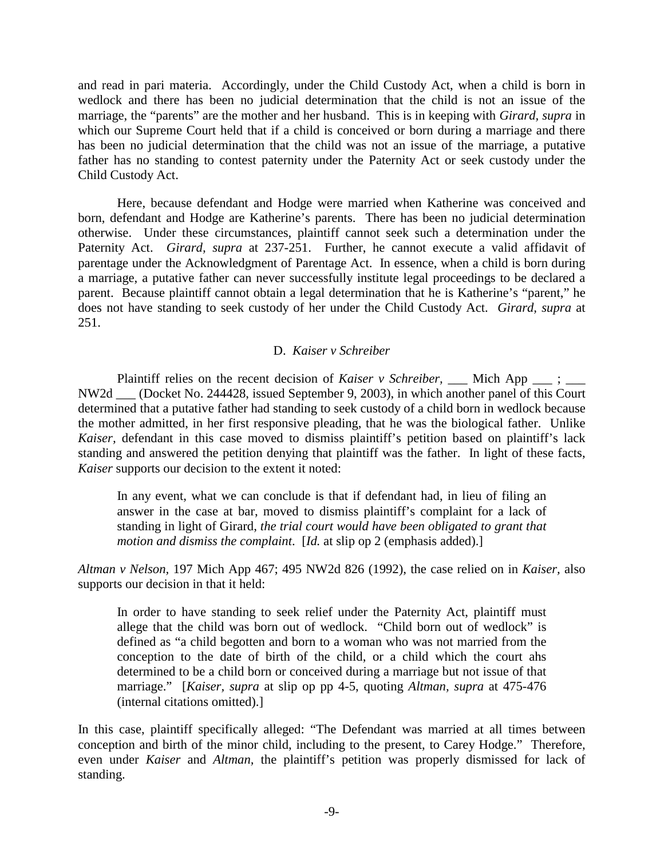and read in pari materia. Accordingly, under the Child Custody Act, when a child is born in wedlock and there has been no judicial determination that the child is not an issue of the marriage, the "parents" are the mother and her husband. This is in keeping with *Girard, supra* in which our Supreme Court held that if a child is conceived or born during a marriage and there has been no judicial determination that the child was not an issue of the marriage, a putative father has no standing to contest paternity under the Paternity Act or seek custody under the Child Custody Act.

 Here, because defendant and Hodge were married when Katherine was conceived and born, defendant and Hodge are Katherine's parents. There has been no judicial determination otherwise. Under these circumstances, plaintiff cannot seek such a determination under the Paternity Act. *Girard, supra* at 237-251. Further, he cannot execute a valid affidavit of parentage under the Acknowledgment of Parentage Act. In essence, when a child is born during a marriage, a putative father can never successfully institute legal proceedings to be declared a parent. Because plaintiff cannot obtain a legal determination that he is Katherine's "parent," he does not have standing to seek custody of her under the Child Custody Act. *Girard, supra* at 251.

### D. *Kaiser v Schreiber*

Plaintiff relies on the recent decision of *Kaiser v Schreiber*, \_\_\_ Mich App \_\_\_ ; \_\_\_ NW2d \_\_\_ (Docket No. 244428, issued September 9, 2003), in which another panel of this Court determined that a putative father had standing to seek custody of a child born in wedlock because the mother admitted, in her first responsive pleading, that he was the biological father. Unlike *Kaiser,* defendant in this case moved to dismiss plaintiff's petition based on plaintiff's lack standing and answered the petition denying that plaintiff was the father. In light of these facts, *Kaiser* supports our decision to the extent it noted:

In any event, what we can conclude is that if defendant had, in lieu of filing an answer in the case at bar, moved to dismiss plaintiff's complaint for a lack of standing in light of Girard, *the trial court would have been obligated to grant that motion and dismiss the complaint*. [*Id.* at slip op 2 (emphasis added).]

*Altman v Nelson,* 197 Mich App 467; 495 NW2d 826 (1992), the case relied on in *Kaiser,* also supports our decision in that it held:

In order to have standing to seek relief under the Paternity Act, plaintiff must allege that the child was born out of wedlock. "Child born out of wedlock" is defined as "a child begotten and born to a woman who was not married from the conception to the date of birth of the child, or a child which the court ahs determined to be a child born or conceived during a marriage but not issue of that marriage." [*Kaiser, supra* at slip op pp 4-5, quoting *Altman, supra* at 475-476 (internal citations omitted).]

In this case, plaintiff specifically alleged: "The Defendant was married at all times between conception and birth of the minor child, including to the present, to Carey Hodge." Therefore, even under *Kaiser* and *Altman,* the plaintiff's petition was properly dismissed for lack of standing.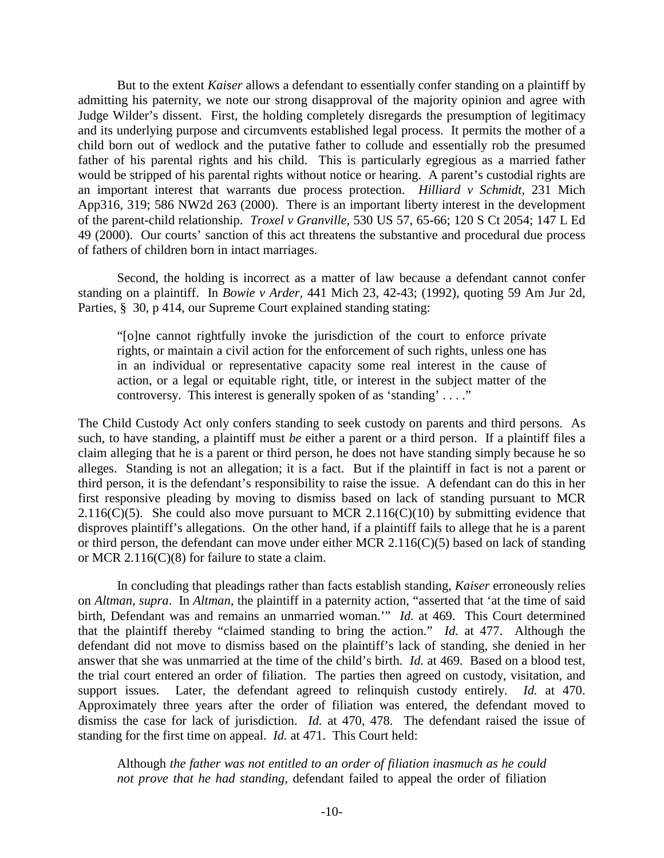But to the extent *Kaiser* allows a defendant to essentially confer standing on a plaintiff by admitting his paternity, we note our strong disapproval of the majority opinion and agree with Judge Wilder's dissent. First, the holding completely disregards the presumption of legitimacy and its underlying purpose and circumvents established legal process. It permits the mother of a child born out of wedlock and the putative father to collude and essentially rob the presumed father of his parental rights and his child. This is particularly egregious as a married father would be stripped of his parental rights without notice or hearing. A parent's custodial rights are an important interest that warrants due process protection. *Hilliard v Schmidt,* 231 Mich App316, 319; 586 NW2d 263 (2000). There is an important liberty interest in the development of the parent-child relationship. *Troxel v Granville,* 530 US 57, 65-66; 120 S Ct 2054; 147 L Ed 49 (2000). Our courts' sanction of this act threatens the substantive and procedural due process of fathers of children born in intact marriages.

 Second, the holding is incorrect as a matter of law because a defendant cannot confer standing on a plaintiff. In *Bowie v Arder,* 441 Mich 23, 42-43; (1992), quoting 59 Am Jur 2d, Parties, § 30, p 414, our Supreme Court explained standing stating:

"[o]ne cannot rightfully invoke the jurisdiction of the court to enforce private rights, or maintain a civil action for the enforcement of such rights, unless one has in an individual or representative capacity some real interest in the cause of action, or a legal or equitable right, title, or interest in the subject matter of the controversy. This interest is generally spoken of as 'standing' . . . ."

The Child Custody Act only confers standing to seek custody on parents and third persons. As such, to have standing, a plaintiff must *be* either a parent or a third person. If a plaintiff files a claim alleging that he is a parent or third person, he does not have standing simply because he so alleges. Standing is not an allegation; it is a fact. But if the plaintiff in fact is not a parent or third person, it is the defendant's responsibility to raise the issue. A defendant can do this in her first responsive pleading by moving to dismiss based on lack of standing pursuant to MCR 2.116(C)(5). She could also move pursuant to MCR 2.116(C)(10) by submitting evidence that disproves plaintiff's allegations. On the other hand, if a plaintiff fails to allege that he is a parent or third person, the defendant can move under either MCR 2.116(C)(5) based on lack of standing or MCR 2.116(C)(8) for failure to state a claim.

In concluding that pleadings rather than facts establish standing, *Kaiser* erroneously relies on *Altman, supra*. In *Altman,* the plaintiff in a paternity action, "asserted that 'at the time of said birth, Defendant was and remains an unmarried woman.'" *Id.* at 469. This Court determined that the plaintiff thereby "claimed standing to bring the action." *Id.* at 477. Although the defendant did not move to dismiss based on the plaintiff's lack of standing, she denied in her answer that she was unmarried at the time of the child's birth. *Id.* at 469. Based on a blood test, the trial court entered an order of filiation. The parties then agreed on custody, visitation, and support issues. Later, the defendant agreed to relinquish custody entirely. *Id.* at 470. Approximately three years after the order of filiation was entered, the defendant moved to dismiss the case for lack of jurisdiction. *Id.* at 470, 478. The defendant raised the issue of standing for the first time on appeal. *Id.* at 471. This Court held:

Although *the father was not entitled to an order of filiation inasmuch as he could not prove that he had standing,* defendant failed to appeal the order of filiation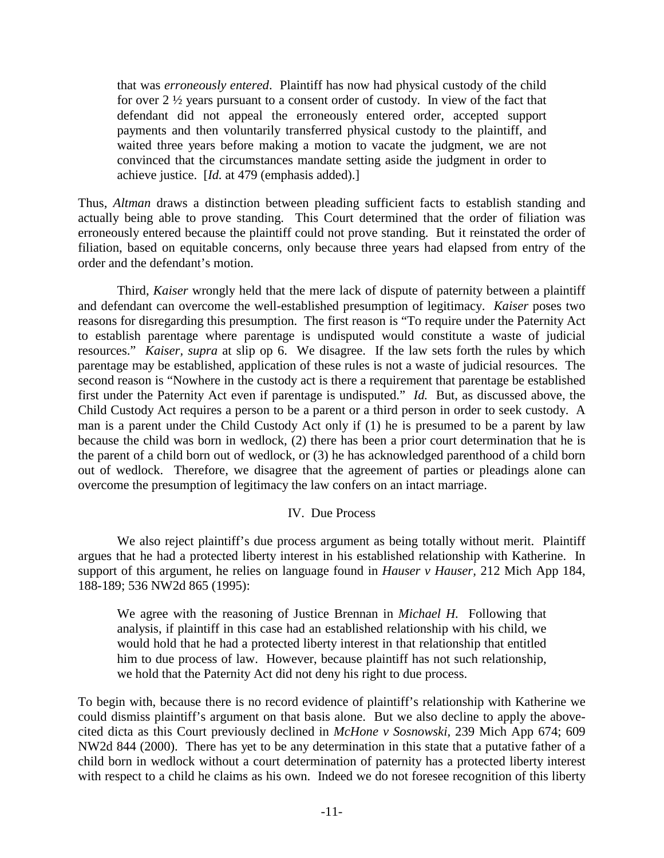that was *erroneously entered*. Plaintiff has now had physical custody of the child for over 2 ½ years pursuant to a consent order of custody. In view of the fact that defendant did not appeal the erroneously entered order, accepted support payments and then voluntarily transferred physical custody to the plaintiff, and waited three years before making a motion to vacate the judgment, we are not convinced that the circumstances mandate setting aside the judgment in order to achieve justice. [*Id.* at 479 (emphasis added).]

Thus, *Altman* draws a distinction between pleading sufficient facts to establish standing and actually being able to prove standing. This Court determined that the order of filiation was erroneously entered because the plaintiff could not prove standing. But it reinstated the order of filiation, based on equitable concerns, only because three years had elapsed from entry of the order and the defendant's motion.

 Third, *Kaiser* wrongly held that the mere lack of dispute of paternity between a plaintiff and defendant can overcome the well-established presumption of legitimacy. *Kaiser* poses two reasons for disregarding this presumption. The first reason is "To require under the Paternity Act to establish parentage where parentage is undisputed would constitute a waste of judicial resources." *Kaiser, supra* at slip op 6. We disagree. If the law sets forth the rules by which parentage may be established, application of these rules is not a waste of judicial resources. The second reason is "Nowhere in the custody act is there a requirement that parentage be established first under the Paternity Act even if parentage is undisputed." *Id.* But, as discussed above, the Child Custody Act requires a person to be a parent or a third person in order to seek custody. A man is a parent under the Child Custody Act only if (1) he is presumed to be a parent by law because the child was born in wedlock, (2) there has been a prior court determination that he is the parent of a child born out of wedlock, or (3) he has acknowledged parenthood of a child born out of wedlock. Therefore, we disagree that the agreement of parties or pleadings alone can overcome the presumption of legitimacy the law confers on an intact marriage.

### IV. Due Process

We also reject plaintiff's due process argument as being totally without merit. Plaintiff argues that he had a protected liberty interest in his established relationship with Katherine. In support of this argument, he relies on language found in *Hauser v Hauser,* 212 Mich App 184, 188-189; 536 NW2d 865 (1995):

We agree with the reasoning of Justice Brennan in *Michael H.* Following that analysis, if plaintiff in this case had an established relationship with his child, we would hold that he had a protected liberty interest in that relationship that entitled him to due process of law. However, because plaintiff has not such relationship, we hold that the Paternity Act did not deny his right to due process.

To begin with, because there is no record evidence of plaintiff's relationship with Katherine we could dismiss plaintiff's argument on that basis alone. But we also decline to apply the abovecited dicta as this Court previously declined in *McHone v Sosnowski,* 239 Mich App 674; 609 NW2d 844 (2000). There has yet to be any determination in this state that a putative father of a child born in wedlock without a court determination of paternity has a protected liberty interest with respect to a child he claims as his own. Indeed we do not foresee recognition of this liberty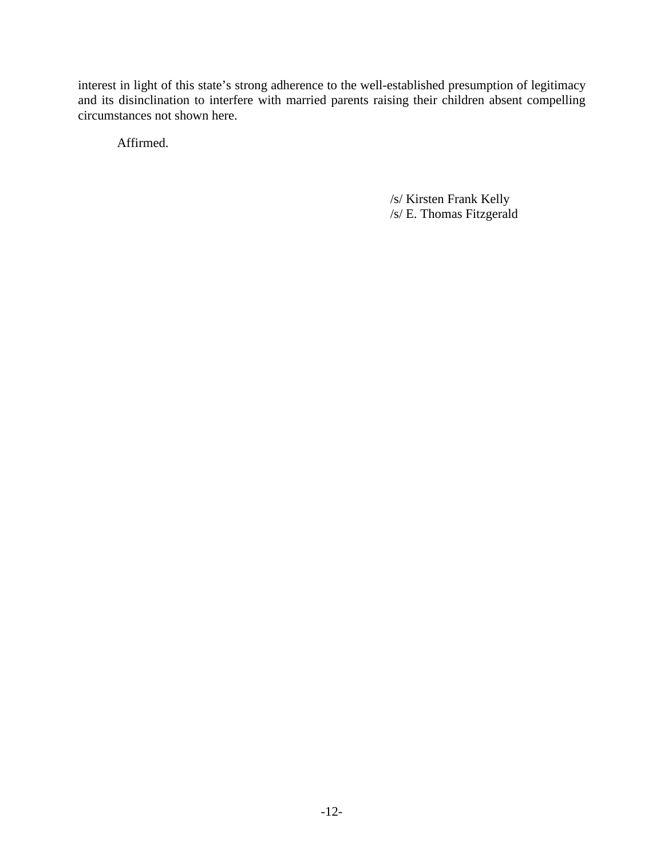interest in light of this state's strong adherence to the well-established presumption of legitimacy and its disinclination to interfere with married parents raising their children absent compelling circumstances not shown here.

Affirmed.

/s/ Kirsten Frank Kelly /s/ E. Thomas Fitzgerald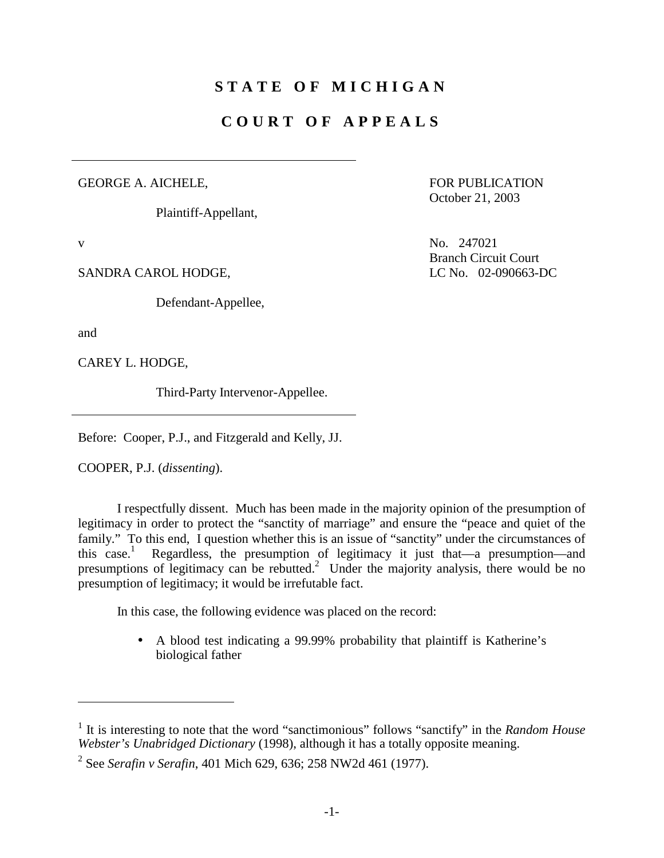# **STATE OF MICHIGAN**

# **COURT OF APPEALS**

#### GEORGE A. AICHELE,

Plaintiff-Appellant,

 FOR PUBLICATION October 21, 2003

SANDRA CAROL HODGE, LC No. 02-090663-DC

Defendant-Appellee,

and

 $\overline{a}$ 

CAREY L. HODGE,

Third-Party Intervenor-Appellee.

Before: Cooper, P.J., and Fitzgerald and Kelly, JJ.

COOPER, P.J. (*dissenting*).

 I respectfully dissent. Much has been made in the majority opinion of the presumption of legitimacy in order to protect the "sanctity of marriage" and ensure the "peace and quiet of the family." To this end, I question whether this is an issue of "sanctity" under the circumstances of this case.<sup>1</sup> Regardless, the presumption of legitimacy it just that—a presumption—and presumptions of legitimacy can be rebutted.<sup>2</sup> Under the majority analysis, there would be no presumption of legitimacy; it would be irrefutable fact.

In this case, the following evidence was placed on the record:

• A blood test indicating a 99.99% probability that plaintiff is Katherine's biological father

v No. 247021 Branch Circuit Court

<sup>&</sup>lt;sup>1</sup> It is interesting to note that the word "sanctimonious" follows "sanctify" in the *Random House Webster's Unabridged Dictionary* (1998), although it has a totally opposite meaning.

<sup>2</sup> See *Serafin v Serafin*, 401 Mich 629, 636; 258 NW2d 461 (1977).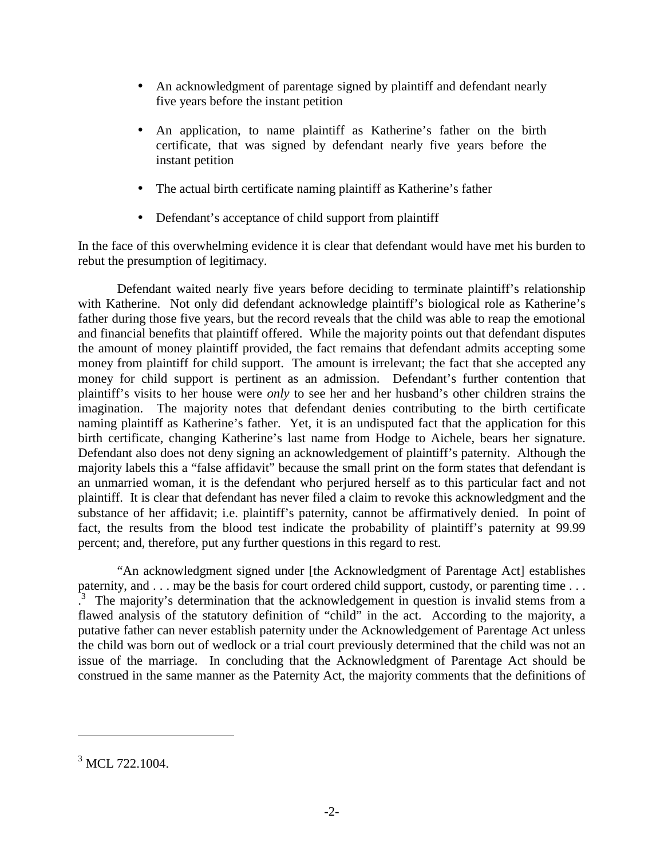- An acknowledgment of parentage signed by plaintiff and defendant nearly five years before the instant petition
- An application, to name plaintiff as Katherine's father on the birth certificate, that was signed by defendant nearly five years before the instant petition
- The actual birth certificate naming plaintiff as Katherine's father
- Defendant's acceptance of child support from plaintiff

In the face of this overwhelming evidence it is clear that defendant would have met his burden to rebut the presumption of legitimacy.

 Defendant waited nearly five years before deciding to terminate plaintiff's relationship with Katherine. Not only did defendant acknowledge plaintiff's biological role as Katherine's father during those five years, but the record reveals that the child was able to reap the emotional and financial benefits that plaintiff offered. While the majority points out that defendant disputes the amount of money plaintiff provided, the fact remains that defendant admits accepting some money from plaintiff for child support. The amount is irrelevant; the fact that she accepted any money for child support is pertinent as an admission. Defendant's further contention that plaintiff's visits to her house were *only* to see her and her husband's other children strains the imagination. The majority notes that defendant denies contributing to the birth certificate naming plaintiff as Katherine's father. Yet, it is an undisputed fact that the application for this birth certificate, changing Katherine's last name from Hodge to Aichele, bears her signature. Defendant also does not deny signing an acknowledgement of plaintiff's paternity. Although the majority labels this a "false affidavit" because the small print on the form states that defendant is an unmarried woman, it is the defendant who perjured herself as to this particular fact and not plaintiff. It is clear that defendant has never filed a claim to revoke this acknowledgment and the substance of her affidavit; i.e. plaintiff's paternity, cannot be affirmatively denied. In point of fact, the results from the blood test indicate the probability of plaintiff's paternity at 99.99 percent; and, therefore, put any further questions in this regard to rest.

 "An acknowledgment signed under [the Acknowledgment of Parentage Act] establishes paternity, and . . . may be the basis for court ordered child support, custody, or parenting time . . . <sup>3</sup>. The majority's determination that the acknowledgement in question is invalid stems from a flawed analysis of the statutory definition of "child" in the act. According to the majority, a putative father can never establish paternity under the Acknowledgement of Parentage Act unless the child was born out of wedlock or a trial court previously determined that the child was not an issue of the marriage. In concluding that the Acknowledgment of Parentage Act should be construed in the same manner as the Paternity Act, the majority comments that the definitions of

 $\overline{a}$ 

<sup>&</sup>lt;sup>3</sup> MCL 722.1004.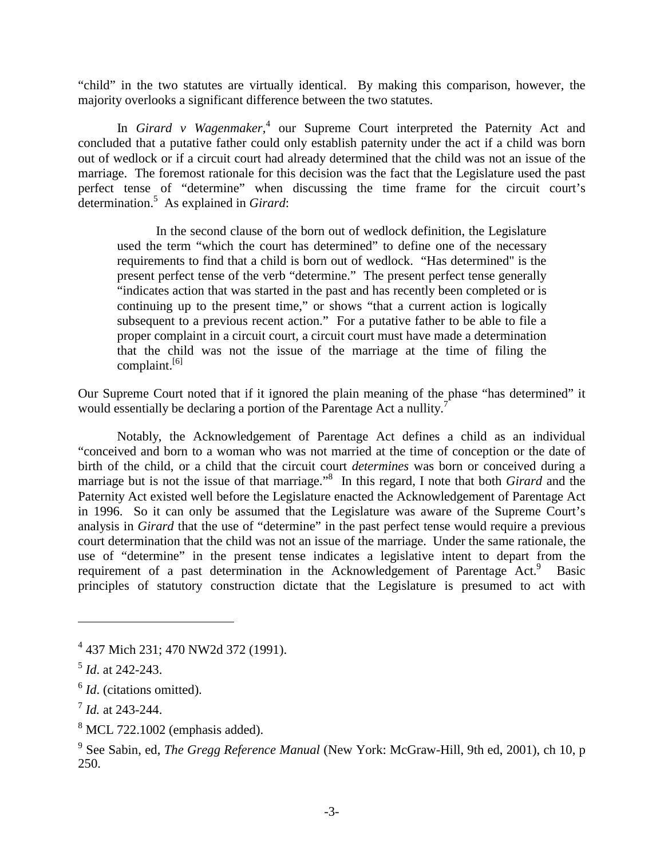"child" in the two statutes are virtually identical. By making this comparison, however, the majority overlooks a significant difference between the two statutes.

In *Girard v Wagenmaker*,<sup>4</sup> our Supreme Court interpreted the Paternity Act and concluded that a putative father could only establish paternity under the act if a child was born out of wedlock or if a circuit court had already determined that the child was not an issue of the marriage. The foremost rationale for this decision was the fact that the Legislature used the past perfect tense of "determine" when discussing the time frame for the circuit court's determination.5 As explained in *Girard*:

In the second clause of the born out of wedlock definition, the Legislature used the term "which the court has determined" to define one of the necessary requirements to find that a child is born out of wedlock. "Has determined" is the present perfect tense of the verb "determine." The present perfect tense generally "indicates action that was started in the past and has recently been completed or is continuing up to the present time," or shows "that a current action is logically subsequent to a previous recent action." For a putative father to be able to file a proper complaint in a circuit court, a circuit court must have made a determination that the child was not the issue of the marriage at the time of filing the complaint.<sup>[6]</sup>

Our Supreme Court noted that if it ignored the plain meaning of the phase "has determined" it would essentially be declaring a portion of the Parentage Act a nullity.<sup>7</sup>

Notably, the Acknowledgement of Parentage Act defines a child as an individual "conceived and born to a woman who was not married at the time of conception or the date of birth of the child, or a child that the circuit court *determines* was born or conceived during a marriage but is not the issue of that marriage."8 In this regard, I note that both *Girard* and the Paternity Act existed well before the Legislature enacted the Acknowledgement of Parentage Act in 1996. So it can only be assumed that the Legislature was aware of the Supreme Court's analysis in *Girard* that the use of "determine" in the past perfect tense would require a previous court determination that the child was not an issue of the marriage. Under the same rationale, the use of "determine" in the present tense indicates a legislative intent to depart from the requirement of a past determination in the Acknowledgement of Parentage Act.<sup>9</sup> Basic principles of statutory construction dictate that the Legislature is presumed to act with

1

<sup>&</sup>lt;sup>4</sup> 437 Mich 231; 470 NW2d 372 (1991).

<sup>5</sup> *Id*. at 242-243.

<sup>&</sup>lt;sup>6</sup> *Id.* (citations omitted).

<sup>7</sup> *Id.* at 243-244.

 $8$  MCL 722.1002 (emphasis added).

<sup>&</sup>lt;sup>9</sup> See Sabin, ed, *The Gregg Reference Manual* (New York: McGraw-Hill, 9th ed, 2001), ch 10, p 250.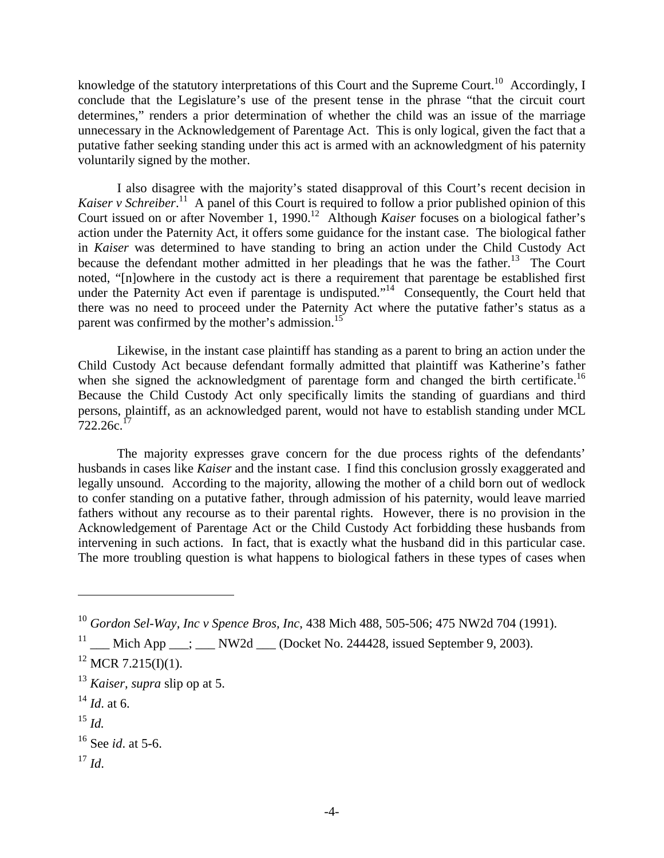knowledge of the statutory interpretations of this Court and the Supreme Court.<sup>10</sup> Accordingly, I conclude that the Legislature's use of the present tense in the phrase "that the circuit court determines," renders a prior determination of whether the child was an issue of the marriage unnecessary in the Acknowledgement of Parentage Act. This is only logical, given the fact that a putative father seeking standing under this act is armed with an acknowledgment of his paternity voluntarily signed by the mother.

 I also disagree with the majority's stated disapproval of this Court's recent decision in Kaiser v Schreiber.<sup>11</sup> A panel of this Court is required to follow a prior published opinion of this Court issued on or after November 1, 1990.<sup>12</sup> Although *Kaiser* focuses on a biological father's action under the Paternity Act, it offers some guidance for the instant case. The biological father in *Kaiser* was determined to have standing to bring an action under the Child Custody Act because the defendant mother admitted in her pleadings that he was the father.<sup>13</sup> The Court noted, "[n]owhere in the custody act is there a requirement that parentage be established first under the Paternity Act even if parentage is undisputed."<sup>14</sup> Consequently, the Court held that there was no need to proceed under the Paternity Act where the putative father's status as a parent was confirmed by the mother's admission.<sup>15</sup>

Likewise, in the instant case plaintiff has standing as a parent to bring an action under the Child Custody Act because defendant formally admitted that plaintiff was Katherine's father when she signed the acknowledgment of parentage form and changed the birth certificate.<sup>16</sup> Because the Child Custody Act only specifically limits the standing of guardians and third persons, plaintiff, as an acknowledged parent, would not have to establish standing under MCL  $722.26c$ <sup>17</sup>

The majority expresses grave concern for the due process rights of the defendants' husbands in cases like *Kaiser* and the instant case. I find this conclusion grossly exaggerated and legally unsound. According to the majority, allowing the mother of a child born out of wedlock to confer standing on a putative father, through admission of his paternity, would leave married fathers without any recourse as to their parental rights. However, there is no provision in the Acknowledgement of Parentage Act or the Child Custody Act forbidding these husbands from intervening in such actions. In fact, that is exactly what the husband did in this particular case. The more troubling question is what happens to biological fathers in these types of cases when

- $^{14}$  *Id.* at 6.
- <sup>15</sup> *Id.*

 $\overline{a}$ 

 $17$  *Id.* 

<sup>10</sup> *Gordon Sel-Way, Inc v Spence Bros, Inc*, 438 Mich 488, 505-506; 475 NW2d 704 (1991).

<sup>&</sup>lt;sup>11</sup> \_\_\_ Mich App \_\_\_; \_\_\_ NW2d \_\_\_ (Docket No. 244428, issued September 9, 2003).

 $12$  MCR 7.215(I)(1).

<sup>13</sup> *Kaiser, supra* slip op at 5.

<sup>16</sup> See *id*. at 5-6.